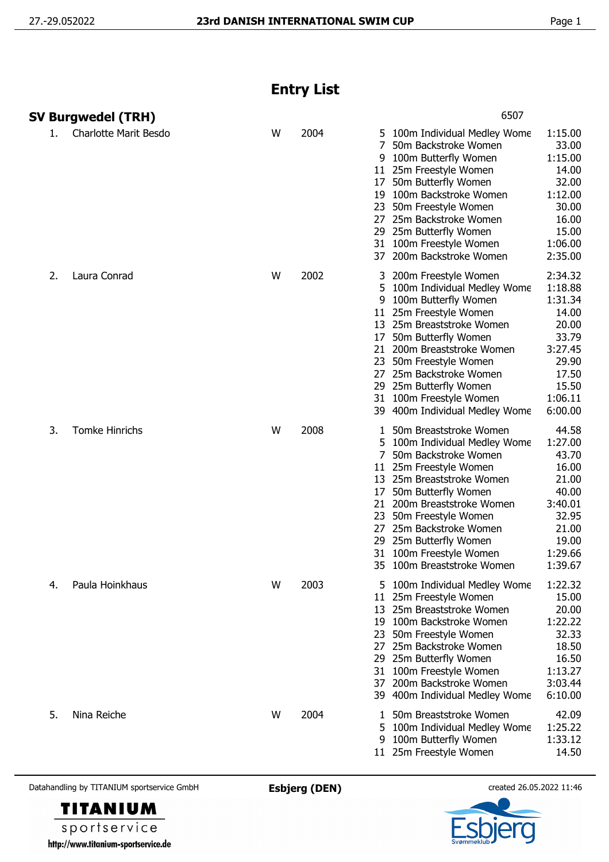## **Entry List**

|    | SV Burgwedel (TRH)           |   |      |                                           | 6507                                                                                                                                                                                                                                                                                                                                |                                                                                                                      |
|----|------------------------------|---|------|-------------------------------------------|-------------------------------------------------------------------------------------------------------------------------------------------------------------------------------------------------------------------------------------------------------------------------------------------------------------------------------------|----------------------------------------------------------------------------------------------------------------------|
| 1. | <b>Charlotte Marit Besdo</b> | W | 2004 | 7<br>9<br>17<br>27<br>37                  | 5 100m Individual Medley Wome<br>50m Backstroke Women<br>100m Butterfly Women<br>11 25m Freestyle Women<br>50m Butterfly Women<br>19 100m Backstroke Women<br>23 50m Freestyle Women<br>25m Backstroke Women<br>29 25m Butterfly Women<br>31 100m Freestyle Women<br>200m Backstroke Women                                          | 1:15.00<br>33.00<br>1:15.00<br>14.00<br>32.00<br>1:12.00<br>30.00<br>16.00<br>15.00<br>1:06.00<br>2:35.00            |
| 2. | Laura Conrad                 | W | 2002 | 3<br>5.<br>9<br>17                        | 200m Freestyle Women<br>100m Individual Medley Wome<br>100m Butterfly Women<br>11 25m Freestyle Women<br>13 25m Breaststroke Women<br>50m Butterfly Women<br>21 200m Breaststroke Women<br>23 50m Freestyle Women<br>27 25m Backstroke Women<br>29 25m Butterfly Women<br>31 100m Freestyle Women<br>39 400m Individual Medley Wome | 2:34.32<br>1:18.88<br>1:31.34<br>14.00<br>20.00<br>33.79<br>3:27.45<br>29.90<br>17.50<br>15.50<br>1:06.11<br>6:00.00 |
| 3. | <b>Tomke Hinrichs</b>        | W | 2008 | 1<br>5<br>7<br>11<br>17<br>27<br>31<br>35 | 50m Breaststroke Women<br>100m Individual Medley Wome<br>50m Backstroke Women<br>25m Freestyle Women<br>13 25m Breaststroke Women<br>50m Butterfly Women<br>21 200m Breaststroke Women<br>23 50m Freestyle Women<br>25m Backstroke Women<br>29 25m Butterfly Women<br>100m Freestyle Women<br>100m Breaststroke Women               | 44.58<br>1:27.00<br>43.70<br>16.00<br>21.00<br>40.00<br>3:40.01<br>32.95<br>21.00<br>19.00<br>1:29.66<br>1:39.67     |
| 4. | Paula Hoinkhaus              | W | 2003 | 23<br>27                                  | 5 100m Individual Medley Wome<br>11 25m Freestyle Women<br>13 25m Breaststroke Women<br>19 100m Backstroke Women<br>50m Freestyle Women<br>25m Backstroke Women<br>29 25m Butterfly Women<br>31 100m Freestyle Women<br>37 200m Backstroke Women<br>39 400m Individual Medley Wome                                                  | 1:22.32<br>15.00<br>20.00<br>1:22.22<br>32.33<br>18.50<br>16.50<br>1:13.27<br>3:03.44<br>6:10.00                     |
| 5. | Nina Reiche                  | W | 2004 | 5<br>9                                    | 1 50m Breaststroke Women<br>100m Individual Medley Wome<br>100m Butterfly Women<br>11 25m Freestyle Women                                                                                                                                                                                                                           | 42.09<br>1:25.22<br>1:33.12<br>14.50                                                                                 |

Datahandling by TITANIUM sportservice GmbH **Esbjerg (DEN)** created 26.05.2022 11:46



**TITANIUM** sportservice http://www.titanium-sportservice.de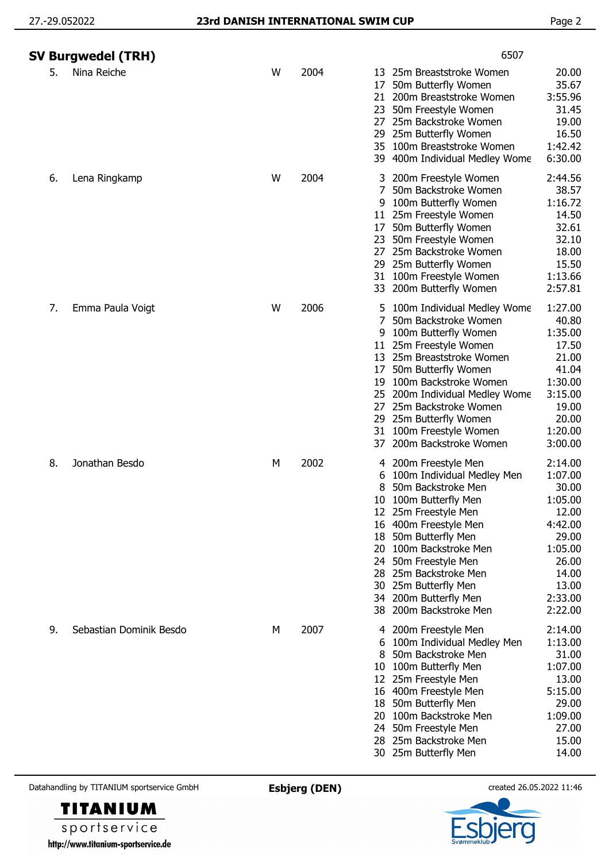|    | SV Burgwedel (TRH)      |   |      | 6507                                                                                                                                                                                                                                                                                                                                                                                                                                                                                                   |
|----|-------------------------|---|------|--------------------------------------------------------------------------------------------------------------------------------------------------------------------------------------------------------------------------------------------------------------------------------------------------------------------------------------------------------------------------------------------------------------------------------------------------------------------------------------------------------|
| 5. | Nina Reiche             | W | 2004 | 20.00<br>25m Breaststroke Women<br>13<br>35.67<br>50m Butterfly Women<br>17<br>3:55.96<br>200m Breaststroke Women<br>21.<br>50m Freestyle Women<br>31.45<br>23<br>19.00<br>25m Backstroke Women<br>27<br>25m Butterfly Women<br>16.50<br>29<br>1:42.42<br>35<br>100m Breaststroke Women<br>6:30.00<br>39 400m Individual Medley Wome                                                                                                                                                                   |
| 6. | Lena Ringkamp           | W | 2004 | 3 200m Freestyle Women<br>2:44.56<br>38.57<br>50m Backstroke Women<br>7<br>1:16.72<br>100m Butterfly Women<br>9<br>14.50<br>25m Freestyle Women<br>11.<br>50m Butterfly Women<br>32.61<br>17<br>32.10<br>50m Freestyle Women<br>23<br>25m Backstroke Women<br>18.00<br>27<br>15.50<br>25m Butterfly Women<br>29.<br>1:13.66<br>100m Freestyle Women<br>31<br>200m Butterfly Women<br>2:57.81<br>33                                                                                                     |
| 7. | Emma Paula Voigt        | W | 2006 | 1:27.00<br>100m Individual Medley Wome<br>5.<br>40.80<br>7<br>50m Backstroke Women<br>100m Butterfly Women<br>1:35.00<br>9<br>17.50<br>25m Freestyle Women<br>11<br>21.00<br>13 25m Breaststroke Women<br>41.04<br>50m Butterfly Women<br>17<br>1:30.00<br>100m Backstroke Women<br>19<br>3:15.00<br>200m Individual Medley Wome<br>25<br>19.00<br>25m Backstroke Women<br>27<br>20.00<br>25m Butterfly Women<br>29<br>1:20.00<br>100m Freestyle Women<br>31<br>200m Backstroke Women<br>3:00.00<br>37 |
| 8. | Jonathan Besdo          | М | 2002 | 4 200m Freestyle Men<br>2:14.00<br>1:07.00<br>100m Individual Medley Men<br>6<br>50m Backstroke Men<br>30.00<br>8<br>1:05.00<br>100m Butterfly Men<br>10<br>12.00<br>12 25m Freestyle Men<br>16 400m Freestyle Men<br>4:42.00<br>29.00<br>50m Butterfly Men<br>18<br>1:05.00<br>100m Backstroke Men<br>20<br>26.00<br>24 50m Freestyle Men<br>14.00<br>28 25m Backstroke Men<br>13.00<br>30 25m Butterfly Men<br>2:33.00<br>34 200m Butterfly Men<br>2:22.00<br>38 200m Backstroke Men                 |
| 9. | Sebastian Dominik Besdo | M | 2007 | 2:14.00<br>200m Freestyle Men<br>4<br>1:13.00<br>100m Individual Medley Men<br>6<br>31.00<br>50m Backstroke Men<br>8<br>100m Butterfly Men<br>1:07.00<br>10<br>13.00<br>12 25m Freestyle Men<br>5:15.00<br>16 400m Freestyle Men<br>50m Butterfly Men<br>29.00<br>18<br>100m Backstroke Men<br>1:09.00<br>20<br>27.00<br>24 50m Freestyle Men<br>25m Backstroke Men<br>15.00<br>28<br>14.00<br>30 25m Butterfly Men                                                                                    |

Datahandling by TITANIUM sportservice GmbH **Esbjerg (DEN)** created 26.05.2022 11:46

**TITANIUM** sportservice

http://www.titanium-sportservice.de

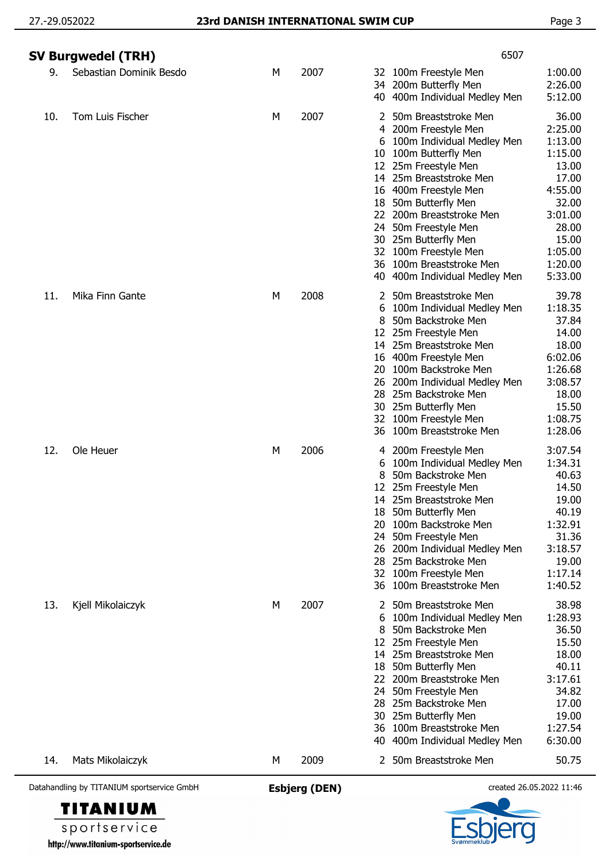| Datahandling by TITANIUM sportservice GmbH |                         |   | <b>Esbjerg (DEN)</b> |                               |                                                                                                                                                                                                                                                                                                                                                                      | created 26.05.2022 11:46                                                                                                                   |
|--------------------------------------------|-------------------------|---|----------------------|-------------------------------|----------------------------------------------------------------------------------------------------------------------------------------------------------------------------------------------------------------------------------------------------------------------------------------------------------------------------------------------------------------------|--------------------------------------------------------------------------------------------------------------------------------------------|
| 14.<br>Mats Mikolaiczyk                    |                         | М | 2009                 | 2                             | 50m Breaststroke Men                                                                                                                                                                                                                                                                                                                                                 | 50.75                                                                                                                                      |
| 13.<br>Kjell Mikolaiczyk                   |                         | М | 2007                 | 18<br>22<br>24.<br>28<br>40   | 50m Breaststroke Men<br>100m Individual Medley Men<br>50m Backstroke Men<br>12 25m Freestyle Men<br>14 25m Breaststroke Men<br>50m Butterfly Men<br>200m Breaststroke Men<br>50m Freestyle Men<br>25m Backstroke Men<br>30 25m Butterfly Men<br>36 100m Breaststroke Men<br>400m Individual Medley Men                                                               | 38.98<br>1:28.93<br>36.50<br>15.50<br>18.00<br>40.11<br>3:17.61<br>34.82<br>17.00<br>19.00<br>1:27.54<br>6:30.00                           |
| 12.<br>Ole Heuer                           |                         | М | 2006                 | 6<br>18<br>20<br>24<br>36     | 4 200m Freestyle Men<br>100m Individual Medley Men<br>50m Backstroke Men<br>12 25m Freestyle Men<br>14 25m Breaststroke Men<br>50m Butterfly Men<br>100m Backstroke Men<br>50m Freestyle Men<br>26 200m Individual Medley Men<br>28 25m Backstroke Men<br>32 100m Freestyle Men<br>100m Breaststroke Men                                                             | 3:07.54<br>1:34.31<br>40.63<br>14.50<br>19.00<br>40.19<br>1:32.91<br>31.36<br>3:18.57<br>19.00<br>1:17.14<br>1:40.52                       |
| 11.<br>Mika Finn Gante                     |                         | М | 2008                 | 2<br>6<br>8<br>20<br>26<br>36 | 50m Breaststroke Men<br>100m Individual Medley Men<br>50m Backstroke Men<br>12 25m Freestyle Men<br>14 25m Breaststroke Men<br>16 400m Freestyle Men<br>100m Backstroke Men<br>200m Individual Medley Men<br>28 25m Backstroke Men<br>30 25m Butterfly Men<br>32 100m Freestyle Men<br>100m Breaststroke Men                                                         | 39.78<br>1:18.35<br>37.84<br>14.00<br>18.00<br>6:02.06<br>1:26.68<br>3:08.57<br>18.00<br>15.50<br>1:08.75<br>1:28.06                       |
| 10.<br>Tom Luis Fischer                    |                         | M | 2007                 | 2<br>4<br>6<br>10             | 50m Breaststroke Men<br>200m Freestyle Men<br>100m Individual Medley Men<br>100m Butterfly Men<br>12 25m Freestyle Men<br>14 25m Breaststroke Men<br>16 400m Freestyle Men<br>18 50m Butterfly Men<br>22 200m Breaststroke Men<br>24 50m Freestyle Men<br>30 25m Butterfly Men<br>32 100m Freestyle Men<br>36 100m Breaststroke Men<br>40 400m Individual Medley Men | 36.00<br>2:25.00<br>1:13.00<br>1:15.00<br>13.00<br>17.00<br>4:55.00<br>32.00<br>3:01.00<br>28.00<br>15.00<br>1:05.00<br>1:20.00<br>5:33.00 |
| SV Burgwedel (TRH)<br>9.                   | Sebastian Dominik Besdo | М | 2007                 |                               | 6507<br>32 100m Freestyle Men<br>34 200m Butterfly Men<br>40 400m Individual Medley Men                                                                                                                                                                                                                                                                              | 1:00.00<br>2:26.00<br>5:12.00                                                                                                              |
|                                            |                         |   |                      |                               |                                                                                                                                                                                                                                                                                                                                                                      |                                                                                                                                            |